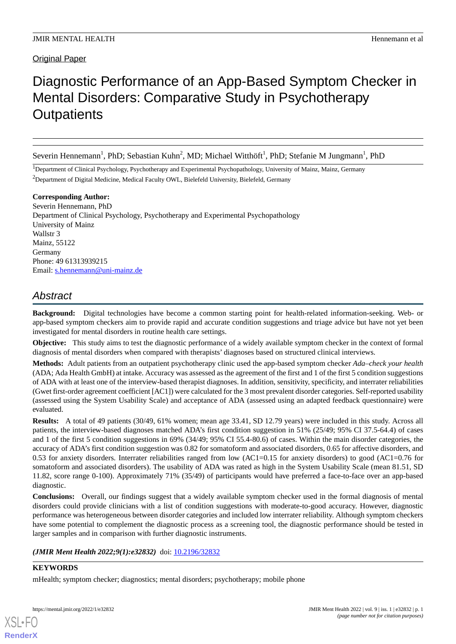# Original Paper

# Diagnostic Performance of an App-Based Symptom Checker in Mental Disorders: Comparative Study in Psychotherapy **Outpatients**

Severin Hennemann<sup>1</sup>, PhD; Sebastian Kuhn<sup>2</sup>, MD; Michael Witthöft<sup>1</sup>, PhD; Stefanie M Jungmann<sup>1</sup>, PhD

<sup>1</sup>Department of Clinical Psychology, Psychotherapy and Experimental Psychopathology, University of Mainz, Mainz, Germany <sup>2</sup>Department of Digital Medicine, Medical Faculty OWL, Bielefeld University, Bielefeld, Germany

**Corresponding Author:** Severin Hennemann, PhD Department of Clinical Psychology, Psychotherapy and Experimental Psychopathology University of Mainz Wallstr 3 Mainz, 55122 Germany Phone: 49 61313939215 Email: [s.hennemann@uni-mainz.de](mailto:s.hennemann@uni-mainz.de)

# *Abstract*

**Background:** Digital technologies have become a common starting point for health-related information-seeking. Web- or app-based symptom checkers aim to provide rapid and accurate condition suggestions and triage advice but have not yet been investigated for mental disorders in routine health care settings.

**Objective:** This study aims to test the diagnostic performance of a widely available symptom checker in the context of formal diagnosis of mental disorders when compared with therapists' diagnoses based on structured clinical interviews.

**Methods:** Adult patients from an outpatient psychotherapy clinic used the app-based symptom checker *Ada–check your health* (ADA; Ada Health GmbH) at intake. Accuracy was assessed as the agreement of the first and 1 of the first 5 condition suggestions of ADA with at least one of the interview-based therapist diagnoses. In addition, sensitivity, specificity, and interrater reliabilities (Gwet first-order agreement coefficient [AC1]) were calculated for the 3 most prevalent disorder categories. Self-reported usability (assessed using the System Usability Scale) and acceptance of ADA (assessed using an adapted feedback questionnaire) were evaluated.

**Results:** A total of 49 patients (30/49, 61% women; mean age 33.41, SD 12.79 years) were included in this study. Across all patients, the interview-based diagnoses matched ADA's first condition suggestion in 51% (25/49; 95% CI 37.5-64.4) of cases and 1 of the first 5 condition suggestions in 69% (34/49; 95% CI 55.4-80.6) of cases. Within the main disorder categories, the accuracy of ADA's first condition suggestion was 0.82 for somatoform and associated disorders, 0.65 for affective disorders, and 0.53 for anxiety disorders. Interrater reliabilities ranged from low (AC1=0.15 for anxiety disorders) to good (AC1=0.76 for somatoform and associated disorders). The usability of ADA was rated as high in the System Usability Scale (mean 81.51, SD 11.82, score range 0-100). Approximately 71% (35/49) of participants would have preferred a face-to-face over an app-based diagnostic.

**Conclusions:** Overall, our findings suggest that a widely available symptom checker used in the formal diagnosis of mental disorders could provide clinicians with a list of condition suggestions with moderate-to-good accuracy. However, diagnostic performance was heterogeneous between disorder categories and included low interrater reliability. Although symptom checkers have some potential to complement the diagnostic process as a screening tool, the diagnostic performance should be tested in larger samples and in comparison with further diagnostic instruments.

(JMIR Ment Health 2022;9(1):e32832) doi: [10.2196/32832](http://dx.doi.org/10.2196/32832)

# **KEYWORDS**

[XSL](http://www.w3.org/Style/XSL)•FO **[RenderX](http://www.renderx.com/)**

mHealth; symptom checker; diagnostics; mental disorders; psychotherapy; mobile phone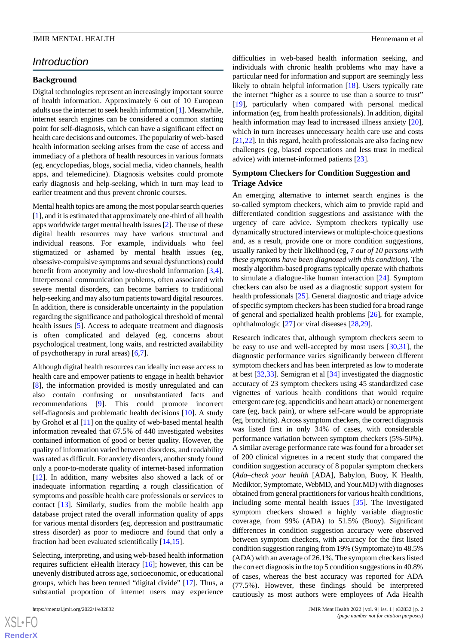# *Introduction*

#### **Background**

Digital technologies represent an increasingly important source of health information. Approximately 6 out of 10 European adults use the internet to seek health information [\[1\]](#page-9-0). Meanwhile, internet search engines can be considered a common starting point for self-diagnosis, which can have a significant effect on health care decisions and outcomes. The popularity of web-based health information seeking arises from the ease of access and immediacy of a plethora of health resources in various formats (eg, encyclopedias, blogs, social media, video channels, health apps, and telemedicine). Diagnosis websites could promote early diagnosis and help-seeking, which in turn may lead to earlier treatment and thus prevent chronic courses.

Mental health topics are among the most popular search queries [[1\]](#page-9-0), and it is estimated that approximately one-third of all health apps worldwide target mental health issues [[2\]](#page-9-1). The use of these digital health resources may have various structural and individual reasons. For example, individuals who feel stigmatized or ashamed by mental health issues (eg, obsessive-compulsive symptoms and sexual dysfunctions) could benefit from anonymity and low-threshold information [\[3](#page-9-2),[4\]](#page-9-3). Interpersonal communication problems, often associated with severe mental disorders, can become barriers to traditional help-seeking and may also turn patients toward digital resources. In addition, there is considerable uncertainty in the population regarding the significance and pathological threshold of mental health issues [\[5](#page-9-4)]. Access to adequate treatment and diagnosis is often complicated and delayed (eg, concerns about psychological treatment, long waits, and restricted availability of psychotherapy in rural areas) [\[6](#page-9-5),[7\]](#page-9-6).

Although digital health resources can ideally increase access to health care and empower patients to engage in health behavior [[8\]](#page-9-7), the information provided is mostly unregulated and can also contain confusing or unsubstantiated facts and recommendations [[9\]](#page-9-8). This could promote incorrect self-diagnosis and problematic health decisions [[10\]](#page-10-0). A study by Grohol et al [\[11](#page-10-1)] on the quality of web-based mental health information revealed that 67.5% of 440 investigated websites contained information of good or better quality. However, the quality of information varied between disorders, and readability was rated as difficult. For anxiety disorders, another study found only a poor-to-moderate quality of internet-based information [[12\]](#page-10-2). In addition, many websites also showed a lack of or inadequate information regarding a rough classification of symptoms and possible health care professionals or services to contact [\[13](#page-10-3)]. Similarly, studies from the mobile health app database project rated the overall information quality of apps for various mental disorders (eg, depression and posttraumatic stress disorder) as poor to mediocre and found that only a fraction had been evaluated scientifically [\[14](#page-10-4),[15\]](#page-10-5).

Selecting, interpreting, and using web-based health information requires sufficient eHealth literacy [\[16](#page-10-6)]; however, this can be unevenly distributed across age, socioeconomic, or educational groups, which has been termed "digital divide" [\[17](#page-10-7)]. Thus, a substantial proportion of internet users may experience

difficulties in web-based health information seeking, and individuals with chronic health problems who may have a particular need for information and support are seemingly less likely to obtain helpful information [\[18](#page-10-8)]. Users typically rate the internet "higher as a source to use than a source to trust" [[19\]](#page-10-9), particularly when compared with personal medical information (eg, from health professionals). In addition, digital health information may lead to increased illness anxiety [[20\]](#page-10-10), which in turn increases unnecessary health care use and costs [[21,](#page-10-11)[22\]](#page-10-12). In this regard, health professionals are also facing new challenges (eg, biased expectations and less trust in medical advice) with internet-informed patients [[23\]](#page-10-13).

#### **Symptom Checkers for Condition Suggestion and Triage Advice**

An emerging alternative to internet search engines is the so-called symptom checkers, which aim to provide rapid and differentiated condition suggestions and assistance with the urgency of care advice. Symptom checkers typically use dynamically structured interviews or multiple-choice questions and, as a result, provide one or more condition suggestions, usually ranked by their likelihood (eg, 7 *out of 10 persons with these symptoms have been diagnosed with this condition*). The mostly algorithm-based programs typically operate with chatbots to simulate a dialogue-like human interaction [[24\]](#page-10-14). Symptom checkers can also be used as a diagnostic support system for health professionals [[25\]](#page-10-15). General diagnostic and triage advice of specific symptom checkers has been studied for a broad range of general and specialized health problems [\[26](#page-10-16)], for example, ophthalmologic [\[27](#page-10-17)] or viral diseases [\[28](#page-10-18),[29\]](#page-10-19).

Research indicates that, although symptom checkers seem to be easy to use and well-accepted by most users [\[30](#page-10-20)[,31](#page-10-21)], the diagnostic performance varies significantly between different symptom checkers and has been interpreted as low to moderate at best [[32,](#page-10-22)[33](#page-10-23)]. Semigran et al [\[34](#page-10-24)] investigated the diagnostic accuracy of 23 symptom checkers using 45 standardized case vignettes of various health conditions that would require emergent care (eg, appendicitis and heart attack) or nonemergent care (eg, back pain), or where self-care would be appropriate (eg, bronchitis). Across symptom checkers, the correct diagnosis was listed first in only 34% of cases, with considerable performance variation between symptom checkers (5%-50%). A similar average performance rate was found for a broader set of 200 clinical vignettes in a recent study that compared the condition suggestion accuracy of 8 popular symptom checkers (*Ada–check your health* [ADA], Babylon, Buoy, K Health, Mediktor, Symptomate, WebMD, and Your.MD) with diagnoses obtained from general practitioners for various health conditions, including some mental health issues [\[35](#page-11-0)]. The investigated symptom checkers showed a highly variable diagnostic coverage, from 99% (ADA) to 51.5% (Buoy). Significant differences in condition suggestion accuracy were observed between symptom checkers, with accuracy for the first listed condition suggestion ranging from 19% (Symptomate) to 48.5% (ADA) with an average of 26.1%. The symptom checkers listed the correct diagnosis in the top 5 condition suggestions in 40.8% of cases, whereas the best accuracy was reported for ADA (77.5%). However, these findings should be interpreted cautiously as most authors were employees of Ada Health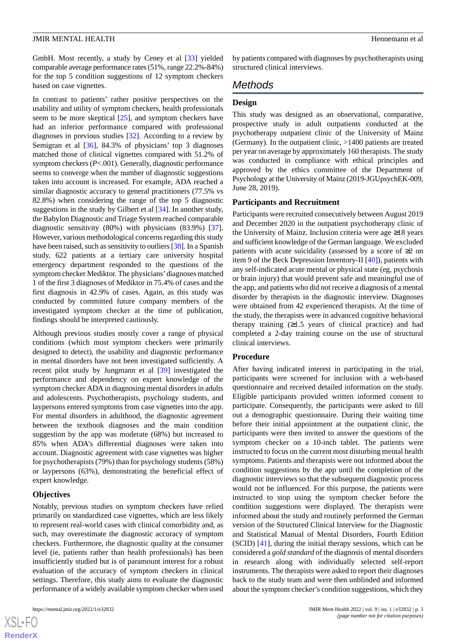GmbH. Most recently, a study by Ceney et al [[33\]](#page-10-23) yielded comparable average performance rates (51%, range 22.2%-84%) for the top 5 condition suggestions of 12 symptom checkers based on case vignettes.

In contrast to patients' rather positive perspectives on the usability and utility of symptom checkers, health professionals seem to be more skeptical [[25\]](#page-10-15), and symptom checkers have had an inferior performance compared with professional diagnoses in previous studies [\[32](#page-10-22)]. According to a review by Semigran et al [\[36](#page-11-1)], 84.3% of physicians' top 3 diagnoses matched those of clinical vignettes compared with 51.2% of symptom checkers (*P*<.001). Generally, diagnostic performance seems to converge when the number of diagnostic suggestions taken into account is increased. For example, ADA reached a similar diagnostic accuracy to general practitioners (77.5% vs 82.8%) when considering the range of the top 5 diagnostic suggestions in the study by Gilbert et al [[34\]](#page-10-24). In another study, the Babylon Diagnostic and Triage System reached comparable diagnostic sensitivity (80%) with physicians (83.9%) [[37\]](#page-11-2). However, various methodological concerns regarding this study have been raised, such as sensitivity to outliers [[38](#page-11-3)]. In a Spanish study, 622 patients at a tertiary care university hospital emergency department responded to the questions of the symptom checker Mediktor. The physicians'diagnoses matched 1 of the first 3 diagnoses of Mediktor in 75.4% of cases and the first diagnosis in 42.9% of cases. Again, as this study was conducted by committed future company members of the investigated symptom checker at the time of publication, findings should be interpreted cautiously.

Although previous studies mostly cover a range of physical conditions (which most symptom checkers were primarily designed to detect), the usability and diagnostic performance in mental disorders have not been investigated sufficiently. A recent pilot study by Jungmann et al [[39\]](#page-11-4) investigated the performance and dependency on expert knowledge of the symptom checker ADA in diagnosing mental disorders in adults and adolescents. Psychotherapists, psychology students, and laypersons entered symptoms from case vignettes into the app. For mental disorders in adulthood, the diagnostic agreement between the textbook diagnoses and the main condition suggestion by the app was moderate (68%) but increased to 85% when ADA's differential diagnoses were taken into account. Diagnostic agreement with case vignettes was higher for psychotherapists (79%) than for psychology students (58%) or laypersons (63%), demonstrating the beneficial effect of expert knowledge.

#### **Objectives**

Notably, previous studies on symptom checkers have relied primarily on standardized case vignettes, which are less likely to represent real-world cases with clinical comorbidity and, as such, may overestimate the diagnostic accuracy of symptom checkers. Furthermore, the diagnostic quality at the consumer level (ie, patients rather than health professionals) has been insufficiently studied but is of paramount interest for a robust evaluation of the accuracy of symptom checkers in clinical settings. Therefore, this study aims to evaluate the diagnostic performance of a widely available symptom checker when used

by patients compared with diagnoses by psychotherapists using structured clinical interviews.

# *Methods*

#### **Design**

This study was designed as an observational, comparative, prospective study in adult outpatients conducted at the psychotherapy outpatient clinic of the University of Mainz (Germany). In the outpatient clinic, >1400 patients are treated per year on average by approximately 160 therapists. The study was conducted in compliance with ethical principles and approved by the ethics committee of the Department of Psychology at the University of Mainz (2019-JGUpsychEK-009, June 28, 2019).

#### **Participants and Recruitment**

Participants were recruited consecutively between August 2019 and December 2020 in the outpatient psychotherapy clinic of the University of Mainz. Inclusion criteria were age ≥18 years and sufficient knowledge of the German language. We excluded patients with acute suicidality (assessed by a score of  $\geq 2$  on item 9 of the Beck Depression Inventory-II [\[40](#page-11-5)]), patients with any self-indicated acute mental or physical state (eg, psychosis or brain injury) that would prevent safe and meaningful use of the app, and patients who did not receive a diagnosis of a mental disorder by therapists in the diagnostic interview. Diagnoses were obtained from 42 experienced therapists. At the time of the study, the therapists were in advanced cognitive behavioral therapy training  $(≥1.5$  years of clinical practice) and had completed a 2-day training course on the use of structural clinical interviews.

# **Procedure**

After having indicated interest in participating in the trial, participants were screened for inclusion with a web-based questionnaire and received detailed information on the study. Eligible participants provided written informed consent to participate. Consequently, the participants were asked to fill out a demographic questionnaire. During their waiting time before their initial appointment at the outpatient clinic, the participants were then invited to answer the questions of the symptom checker on a 10-inch tablet. The patients were instructed to focus on the current most disturbing mental health symptoms. Patients and therapists were not informed about the condition suggestions by the app until the completion of the diagnostic interviews so that the subsequent diagnostic process would not be influenced. For this purpose, the patients were instructed to stop using the symptom checker before the condition suggestions were displayed. The therapists were informed about the study and routinely performed the German version of the Structured Clinical Interview for the Diagnostic and Statistical Manual of Mental Disorders, Fourth Edition (SCID) [\[41](#page-11-6)], during the initial therapy sessions, which can be considered a *gold standard* of the diagnosis of mental disorders in research along with individually selected self-report instruments. The therapists were asked to report their diagnoses back to the study team and were then unblinded and informed about the symptom checker's condition suggestions, which they

 $XS$  $\cdot$ FC **[RenderX](http://www.renderx.com/)**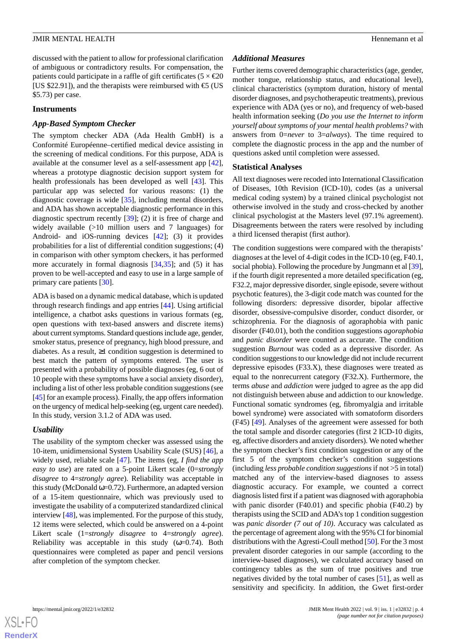discussed with the patient to allow for professional clarification of ambiguous or contradictory results. For compensation, the patients could participate in a raffle of gift certificates ( $5 \times \text{\textsterling}20$ ) [US \$22.91]), and the therapists were reimbursed with  $\text{\large\ensuremath{\in}}$  (US \$5.73) per case.

#### **Instruments**

#### *App-Based Symptom Checker*

The symptom checker ADA (Ada Health GmbH) is a Conformité Européenne–certified medical device assisting in the screening of medical conditions. For this purpose, ADA is available at the consumer level as a self-assessment app [[42\]](#page-11-7), whereas a prototype diagnostic decision support system for health professionals has been developed as well [[43\]](#page-11-8). This particular app was selected for various reasons: (1) the diagnostic coverage is wide [[35\]](#page-11-0), including mental disorders, and ADA has shown acceptable diagnostic performance in this diagnostic spectrum recently [\[39](#page-11-4)]; (2) it is free of charge and widely available (>10 million users and 7 languages) for Android- and iOS-running devices [[42\]](#page-11-7); (3) it provides probabilities for a list of differential condition suggestions; (4) in comparison with other symptom checkers, it has performed more accurately in formal diagnosis [\[34](#page-10-24),[35\]](#page-11-0); and (5) it has proven to be well-accepted and easy to use in a large sample of primary care patients [[30\]](#page-10-20).

ADA is based on a dynamic medical database, which is updated through research findings and app entries [\[44](#page-11-9)]. Using artificial intelligence, a chatbot asks questions in various formats (eg, open questions with text-based answers and discrete items) about current symptoms. Standard questions include age, gender, smoker status, presence of pregnancy, high blood pressure, and diabetes. As a result,  $\geq 1$  condition suggestion is determined to best match the pattern of symptoms entered. The user is presented with a probability of possible diagnoses (eg, 6 out of 10 people with these symptoms have a social anxiety disorder), including a list of other less probable condition suggestions (see [[45\]](#page-11-10) for an example process). Finally, the app offers information on the urgency of medical help-seeking (eg, urgent care needed). In this study, version 3.1.2 of ADA was used.

#### *Usability*

The usability of the symptom checker was assessed using the 10-item, unidimensional System Usability Scale (SUS) [[46\]](#page-11-11), a widely used, reliable scale [\[47](#page-11-12)]. The items (eg, *I find the app easy to use*) are rated on a 5-point Likert scale (0=*strongly disagree* to 4=*strongly agree*). Reliability was acceptable in this study (McDonald  $\omega$ =0.72). Furthermore, an adapted version of a 15-item questionnaire, which was previously used to investigate the usability of a computerized standardized clinical interview [\[48](#page-11-13)], was implemented. For the purpose of this study, 12 items were selected, which could be answered on a 4-point Likert scale (1=*strongly disagree* to 4=*strongly agree*). Reliability was acceptable in this study ( $\omega$ =0.74). Both questionnaires were completed as paper and pencil versions after completion of the symptom checker.

#### *Additional Measures*

Further items covered demographic characteristics (age, gender, mother tongue, relationship status, and educational level), clinical characteristics (symptom duration, history of mental disorder diagnoses, and psychotherapeutic treatments), previous experience with ADA (yes or no), and frequency of web-based health information seeking (*Do you use the Internet to inform yourself about symptoms of your mental health problems?* with answers from 0=*never* to 3=*always*). The time required to complete the diagnostic process in the app and the number of questions asked until completion were assessed.

#### **Statistical Analyses**

All text diagnoses were recoded into International Classification of Diseases, 10th Revision (ICD-10), codes (as a universal medical coding system) by a trained clinical psychologist not otherwise involved in the study and cross-checked by another clinical psychologist at the Masters level (97.1% agreement). Disagreements between the raters were resolved by including a third licensed therapist (first author).

The condition suggestions were compared with the therapists' diagnoses at the level of 4-digit codes in the ICD-10 (eg, F40.1, social phobia). Following the procedure by Jungmann et al [\[39\]](#page-11-4), if the fourth digit represented a more detailed specification (eg, F32.2, major depressive disorder, single episode, severe without psychotic features), the 3-digit code match was counted for the following disorders: depressive disorder, bipolar affective disorder, obsessive-compulsive disorder, conduct disorder, or schizophrenia. For the diagnosis of agoraphobia with panic disorder (F40.01), both the condition suggestions *agoraphobia* and *panic disorder* were counted as accurate. The condition suggestion *Burnout* was coded as a depressive disorder. As condition suggestions to our knowledge did not include recurrent depressive episodes (F33.X), these diagnoses were treated as equal to the nonrecurrent category (F32.X). Furthermore, the terms *abuse* and *addiction* were judged to agree as the app did not distinguish between abuse and addiction to our knowledge. Functional somatic syndromes (eg, fibromyalgia and irritable bowel syndrome) were associated with somatoform disorders (F45) [\[49](#page-11-14)]. Analyses of the agreement were assessed for both the total sample and disorder categories (first 2 ICD-10 digits, eg, affective disorders and anxiety disorders). We noted whether the symptom checker's first condition suggestion or any of the first 5 of the symptom checker's condition suggestions (including *less probable condition suggestions*if not >5 in total) matched any of the interview-based diagnoses to assess diagnostic accuracy. For example, we counted a correct diagnosis listed first if a patient was diagnosed with agoraphobia with panic disorder (F40.01) and specific phobia (F40.2) by therapists using the SCID and ADA's top 1 condition suggestion was *panic disorder (7 out of 10)*. Accuracy was calculated as the percentage of agreement along with the 95% CI for binomial distributions with the Agresti-Coull method [[50](#page-11-15)]. For the 3 most prevalent disorder categories in our sample (according to the interview-based diagnoses), we calculated accuracy based on contingency tables as the sum of true positives and true negatives divided by the total number of cases [\[51](#page-11-16)], as well as sensitivity and specificity. In addition, the Gwet first-order

 $XS$  $\cdot$ FC **[RenderX](http://www.renderx.com/)**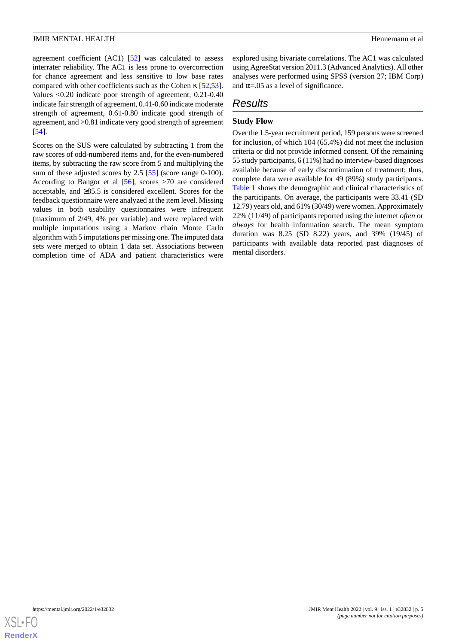agreement coefficient (AC1) [\[52](#page-11-17)] was calculated to assess interrater reliability. The AC1 is less prone to overcorrection for chance agreement and less sensitive to low base rates compared with other coefficients such as the Cohen κ [\[52](#page-11-17),[53\]](#page-11-18). Values <0.20 indicate poor strength of agreement, 0.21-0.40 indicate fair strength of agreement, 0.41-0.60 indicate moderate strength of agreement, 0.61-0.80 indicate good strength of agreement, and >0.81 indicate very good strength of agreement [[54\]](#page-11-19).

Scores on the SUS were calculated by subtracting 1 from the raw scores of odd-numbered items and, for the even-numbered items, by subtracting the raw score from 5 and multiplying the sum of these adjusted scores by 2.5 [\[55](#page-11-20)] (score range 0-100). According to Bangor et al [[56\]](#page-11-21), scores >70 are considered acceptable, and ≥85.5 is considered excellent. Scores for the feedback questionnaire were analyzed at the item level. Missing values in both usability questionnaires were infrequent (maximum of 2/49, 4% per variable) and were replaced with multiple imputations using a Markov chain Monte Carlo algorithm with 5 imputations per missing one. The imputed data sets were merged to obtain 1 data set. Associations between completion time of ADA and patient characteristics were

explored using bivariate correlations. The AC1 was calculated using AgreeStat version 2011.3 (Advanced Analytics). All other analyses were performed using SPSS (version 27; IBM Corp) and  $\alpha = 0.05$  as a level of significance.

# *Results*

# **Study Flow**

Over the 1.5-year recruitment period, 159 persons were screened for inclusion, of which 104 (65.4%) did not meet the inclusion criteria or did not provide informed consent. Of the remaining 55 study participants, 6 (11%) had no interview-based diagnoses available because of early discontinuation of treatment; thus, complete data were available for 49 (89%) study participants. [Table 1](#page-5-0) shows the demographic and clinical characteristics of the participants. On average, the participants were 33.41 (SD 12.79) years old, and 61% (30/49) were women. Approximately 22% (11/49) of participants reported using the internet *often* or *always* for health information search. The mean symptom duration was 8.25 (SD 8.22) years, and 39% (19/45) of participants with available data reported past diagnoses of mental disorders.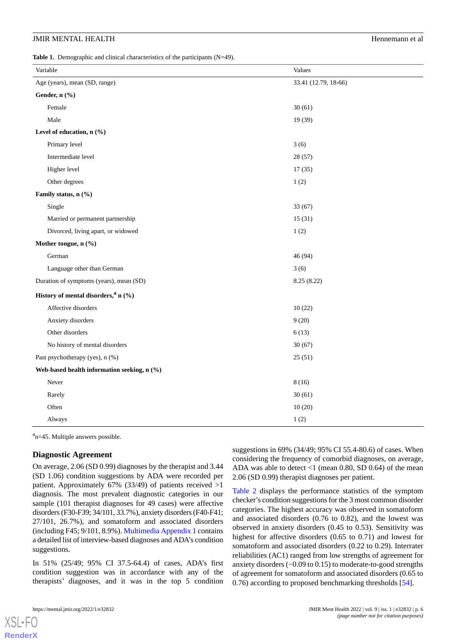<span id="page-5-0"></span>Table 1. Demographic and clinical characteristics of the participants (N=49).

| Variable                                        | Values               |  |
|-------------------------------------------------|----------------------|--|
| Age (years), mean (SD, range)                   | 33.41 (12.79, 18-66) |  |
| Gender, n (%)                                   |                      |  |
| Female                                          | 30(61)               |  |
| Male                                            | 19 (39)              |  |
| Level of education, n (%)                       |                      |  |
| Primary level                                   | 3(6)                 |  |
| Intermediate level                              | 28 (57)              |  |
| Higher level                                    | 17(35)               |  |
| Other degrees                                   | 1(2)                 |  |
| Family status, n (%)                            |                      |  |
| Single                                          | 33(67)               |  |
| Married or permanent partnership                | 15(31)               |  |
| Divorced, living apart, or widowed              | 1(2)                 |  |
| Mother tongue, n (%)                            |                      |  |
| German                                          | 46 (94)              |  |
| Language other than German                      | 3(6)                 |  |
| Duration of symptoms (years), mean (SD)         | 8.25(8.22)           |  |
| History of mental disorders, <sup>a</sup> n (%) |                      |  |
| Affective disorders                             | 10(22)               |  |
| Anxiety disorders                               | 9(20)                |  |
| Other disorders                                 | 6(13)                |  |
| No history of mental disorders                  | 30(67)               |  |
| Past psychotherapy (yes), n (%)                 | 25(51)               |  |
| Web-based health information seeking, n (%)     |                      |  |
| Never                                           | 8(16)                |  |
| Rarely                                          | 30(61)               |  |
| Often                                           | 10(20)               |  |
| Always                                          | 1(2)                 |  |

<sup>a</sup>n=45. Multiple answers possible.

#### **Diagnostic Agreement**

On average, 2.06 (SD 0.99) diagnoses by the therapist and 3.44 (SD 1.06) condition suggestions by ADA were recorded per patient. Approximately 67% (33/49) of patients received >1 diagnosis. The most prevalent diagnostic categories in our sample (101 therapist diagnoses for 49 cases) were affective disorders (F30-F39; 34/101, 33.7%), anxiety disorders (F40-F41; 27/101, 26.7%), and somatoform and associated disorders (including F45; 9/101, 8.9%). [Multimedia Appendix 1](#page-9-9) contains a detailed list of interview-based diagnoses and ADA's condition suggestions.

In 51% (25/49; 95% CI 37.5-64.4) of cases, ADA's first condition suggestion was in accordance with any of the therapists' diagnoses, and it was in the top 5 condition

[XSL](http://www.w3.org/Style/XSL)•FO **[RenderX](http://www.renderx.com/)**

suggestions in 69% (34/49; 95% CI 55.4-80.6) of cases. When considering the frequency of comorbid diagnoses, on average, ADA was able to detect  $<$ 1 (mean 0.80, SD 0.64) of the mean 2.06 (SD 0.99) therapist diagnoses per patient.

[Table 2](#page-6-0) displays the performance statistics of the symptom checker's condition suggestions for the 3 most common disorder categories. The highest accuracy was observed in somatoform and associated disorders (0.76 to 0.82), and the lowest was observed in anxiety disorders (0.45 to 0.53). Sensitivity was highest for affective disorders (0.65 to 0.71) and lowest for somatoform and associated disorders (0.22 to 0.29). Interrater reliabilities (AC1) ranged from low strengths of agreement for anxiety disorders (−0.09 to 0.15) to moderate-to-good strengths of agreement for somatoform and associated disorders (0.65 to 0.76) according to proposed benchmarking thresholds [[54\]](#page-11-19).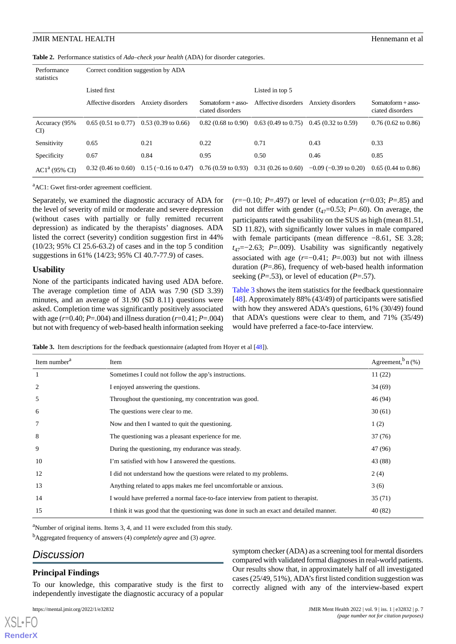<span id="page-6-0"></span>**Table 2.** Performance statistics of *Ada–check your health* (ADA) for disorder categories.

| Performance<br>statistics | Correct condition suggestion by ADA |                                                                |                                          |                                                               |                            |                                          |
|---------------------------|-------------------------------------|----------------------------------------------------------------|------------------------------------------|---------------------------------------------------------------|----------------------------|------------------------------------------|
|                           | Listed first                        |                                                                |                                          | Listed in top 5                                               |                            |                                          |
|                           | Affective disorders                 | Anxiety disorders                                              | $Somatoform + asso-$<br>ciated disorders | Affective disorders                                           | Anxiety disorders          | $Somatoform + asso-$<br>ciated disorders |
| Accuracy (95%<br>CI)      |                                     | $0.65(0.51 \text{ to } 0.77)$ 0.53 (0.39 to 0.66)              |                                          | $0.82$ (0.68 to 0.90) 0.63 (0.49 to 0.75) 0.45 (0.32 to 0.59) |                            | $0.76(0.62 \text{ to } 0.86)$            |
| Sensitivity               | 0.65                                | 0.21                                                           | 0.22                                     | 0.71                                                          | 0.43                       | 0.33                                     |
| Specificity               | 0.67                                | 0.84                                                           | 0.95                                     | 0.50                                                          | 0.46                       | 0.85                                     |
| $AC1a$ (95% CI)           | $0.32(0.46 \text{ to } 0.60)$       | $0.15$ (-0.16 to 0.47) 0.76 (0.59 to 0.93) 0.31 (0.26 to 0.60) |                                          |                                                               | $-0.09$ ( $-0.39$ to 0.20) | $0.65(0.44 \text{ to } 0.86)$            |

<sup>a</sup>AC1: Gwet first-order agreement coefficient.

Separately, we examined the diagnostic accuracy of ADA for the level of severity of mild or moderate and severe depression (without cases with partially or fully remitted recurrent depression) as indicated by the therapists' diagnoses. ADA listed the correct (severity) condition suggestion first in 44% (10/23; 95% CI 25.6-63.2) of cases and in the top 5 condition suggestions in 61% (14/23; 95% CI 40.7-77.9) of cases.

#### **Usability**

<span id="page-6-1"></span>None of the participants indicated having used ADA before. The average completion time of ADA was 7.90 (SD 3.39) minutes, and an average of 31.90 (SD 8.11) questions were asked. Completion time was significantly positively associated with age ( $r=0.40$ ;  $P=.004$ ) and illness duration ( $r=0.41$ ;  $P=.004$ ) but not with frequency of web-based health information seeking (*r*=−0.10; *P*=.497) or level of education (*r*=0.03; *P*=.85) and did not differ with gender  $(t_{47}=0.53; P=.60)$ . On average, the participants rated the usability on the SUS as high (mean 81.51, SD 11.82), with significantly lower values in male compared with female participants (mean difference −8.61, SE 3.28; *t*47=−2.63; *P*=.009). Usability was significantly negatively associated with age (*r*=−0.41; *P*=.003) but not with illness duration (*P*=.86), frequency of web-based health information seeking (*P*=.53), or level of education (*P*=.57).

[Table 3](#page-6-1) shows the item statistics for the feedback questionnaire [[48\]](#page-11-13). Approximately 88% (43/49) of participants were satisfied with how they answered ADA's questions, 61% (30/49) found that ADA's questions were clear to them, and 71% (35/49) would have preferred a face-to-face interview.

**Table 3.** Item descriptions for the feedback questionnaire (adapted from Hoyer et al [\[48\]](#page-11-13)).

| Item number <sup>a</sup> | Item                                                                                    | Agreement, $\sin(96)$ |
|--------------------------|-----------------------------------------------------------------------------------------|-----------------------|
|                          | Sometimes I could not follow the app's instructions.                                    | 11(22)                |
| 2                        | I enjoyed answering the questions.                                                      | 34(69)                |
| 5                        | Throughout the questioning, my concentration was good.                                  | 46 (94)               |
| 6                        | The questions were clear to me.                                                         | 30(61)                |
|                          | Now and then I wanted to quit the questioning.                                          | 1(2)                  |
| 8                        | The questioning was a pleasant experience for me.                                       | 37(76)                |
| 9                        | During the questioning, my endurance was steady.                                        | 47 (96)               |
| 10                       | I'm satisfied with how I answered the questions.                                        | 43 (88)               |
| 12                       | I did not understand how the questions were related to my problems.                     | 2(4)                  |
| 13                       | Anything related to apps makes me feel uncomfortable or anxious.                        | 3(6)                  |
| 14                       | I would have preferred a normal face-to-face interview from patient to therapist.       | 35 (71)               |
| 15                       | I think it was good that the questioning was done in such an exact and detailed manner. | 40 (82)               |

<sup>a</sup>Number of original items. Items 3, 4, and 11 were excluded from this study.

<sup>b</sup>Aggregated frequency of answers (4) *completely agree* and (3) *agree*.

# *Discussion*

[XSL](http://www.w3.org/Style/XSL)•FO **[RenderX](http://www.renderx.com/)**

#### **Principal Findings**

To our knowledge, this comparative study is the first to independently investigate the diagnostic accuracy of a popular

symptom checker (ADA) as a screening tool for mental disorders compared with validated formal diagnoses in real-world patients. Our results show that, in approximately half of all investigated cases (25/49, 51%), ADA's first listed condition suggestion was correctly aligned with any of the interview-based expert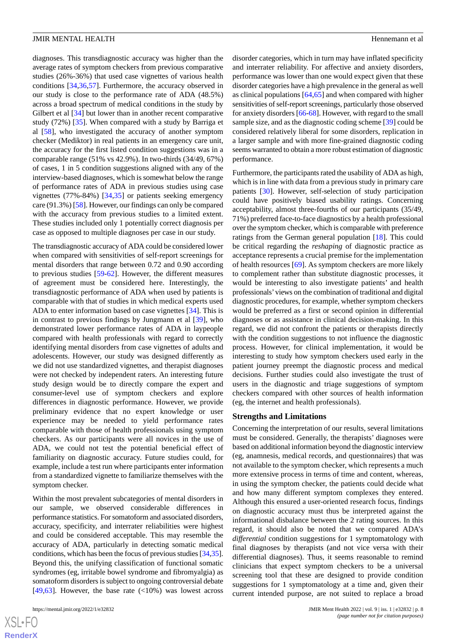diagnoses. This transdiagnostic accuracy was higher than the average rates of symptom checkers from previous comparative studies (26%-36%) that used case vignettes of various health conditions [[34](#page-10-24)[,36](#page-11-1),[57\]](#page-11-22). Furthermore, the accuracy observed in our study is close to the performance rate of ADA (48.5%) across a broad spectrum of medical conditions in the study by Gilbert et al [\[34](#page-10-24)] but lower than in another recent comparative study (72%) [\[35](#page-11-0)]. When compared with a study by Barriga et al [\[58](#page-11-23)], who investigated the accuracy of another symptom checker (Mediktor) in real patients in an emergency care unit, the accuracy for the first listed condition suggestions was in a comparable range (51% vs 42.9%). In two-thirds (34/49, 67%) of cases, 1 in 5 condition suggestions aligned with any of the interview-based diagnoses, which is somewhat below the range of performance rates of ADA in previous studies using case vignettes (77%-84%) [\[34](#page-10-24),[35\]](#page-11-0) or patients seeking emergency care (91.3%) [[58\]](#page-11-23). However, our findings can only be compared with the accuracy from previous studies to a limited extent. These studies included only 1 potentially correct diagnosis per case as opposed to multiple diagnoses per case in our study.

The transdiagnostic accuracy of ADA could be considered lower when compared with sensitivities of self-report screenings for mental disorders that range between 0.72 and 0.90 according to previous studies [\[59](#page-11-24)-[62\]](#page-12-0). However, the different measures of agreement must be considered here. Interestingly, the transdiagnostic performance of ADA when used by patients is comparable with that of studies in which medical experts used ADA to enter information based on case vignettes [[34\]](#page-10-24). This is in contrast to previous findings by Jungmann et al [\[39](#page-11-4)], who demonstrated lower performance rates of ADA in laypeople compared with health professionals with regard to correctly identifying mental disorders from case vignettes of adults and adolescents. However, our study was designed differently as we did not use standardized vignettes, and therapist diagnoses were not checked by independent raters. An interesting future study design would be to directly compare the expert and consumer-level use of symptom checkers and explore differences in diagnostic performance. However, we provide preliminary evidence that no expert knowledge or user experience may be needed to yield performance rates comparable with those of health professionals using symptom checkers. As our participants were all novices in the use of ADA, we could not test the potential beneficial effect of familiarity on diagnostic accuracy. Future studies could, for example, include a test run where participants enter information from a standardized vignette to familiarize themselves with the symptom checker.

Within the most prevalent subcategories of mental disorders in our sample, we observed considerable differences in performance statistics. For somatoform and associated disorders, accuracy, specificity, and interrater reliabilities were highest and could be considered acceptable. This may resemble the accuracy of ADA, particularly in detecting somatic medical conditions, which has been the focus of previous studies [[34,](#page-10-24)[35\]](#page-11-0). Beyond this, the unifying classification of functional somatic syndromes (eg, irritable bowel syndrome and fibromyalgia) as somatoform disorders is subject to ongoing controversial debate [[49](#page-11-14)[,63](#page-12-1)]. However, the base rate  $\left($  <10%) was lowest across

disorder categories, which in turn may have inflated specificity and interrater reliability. For affective and anxiety disorders, performance was lower than one would expect given that these disorder categories have a high prevalence in the general as well as clinical populations [[64,](#page-12-2)[65](#page-12-3)] and when compared with higher sensitivities of self-report screenings, particularly those observed for anxiety disorders [\[66](#page-12-4)[-68](#page-12-5)]. However, with regard to the small sample size, and as the diagnostic coding scheme [[39\]](#page-11-4) could be considered relatively liberal for some disorders, replication in a larger sample and with more fine-grained diagnostic coding seems warranted to obtain a more robust estimation of diagnostic performance.

Furthermore, the participants rated the usability of ADA as high, which is in line with data from a previous study in primary care patients [[30\]](#page-10-20). However, self-selection of study participation could have positively biased usability ratings. Concerning acceptability, almost three-fourths of our participants (35/49, 71%) preferred face-to-face diagnostics by a health professional over the symptom checker, which is comparable with preference ratings from the German general population [\[18](#page-10-8)]. This could be critical regarding the *reshaping* of diagnostic practice as acceptance represents a crucial premise for the implementation of health resources [\[69](#page-12-6)]. As symptom checkers are more likely to complement rather than substitute diagnostic processes, it would be interesting to also investigate patients' and health professionals'views on the combination of traditional and digital diagnostic procedures, for example, whether symptom checkers would be preferred as a first or second opinion in differential diagnoses or as assistance in clinical decision-making. In this regard, we did not confront the patients or therapists directly with the condition suggestions to not influence the diagnostic process. However, for clinical implementation, it would be interesting to study how symptom checkers used early in the patient journey preempt the diagnostic process and medical decisions. Further studies could also investigate the trust of users in the diagnostic and triage suggestions of symptom checkers compared with other sources of health information (eg, the internet and health professionals).

#### **Strengths and Limitations**

Concerning the interpretation of our results, several limitations must be considered. Generally, the therapists' diagnoses were based on additional information beyond the diagnostic interview (eg, anamnesis, medical records, and questionnaires) that was not available to the symptom checker, which represents a much more extensive process in terms of time and content, whereas, in using the symptom checker, the patients could decide what and how many different symptom complexes they entered. Although this ensured a user-oriented research focus, findings on diagnostic accuracy must thus be interpreted against the informational disbalance between the 2 rating sources. In this regard, it should also be noted that we compared ADA's *differential* condition suggestions for 1 symptomatology with final diagnoses by therapists (and not vice versa with their differential diagnoses). Thus, it seems reasonable to remind clinicians that expect symptom checkers to be a universal screening tool that these are designed to provide condition suggestions for 1 symptomatology at a time and, given their current intended purpose, are not suited to replace a broad

 $XS$  $\cdot$ FC **[RenderX](http://www.renderx.com/)**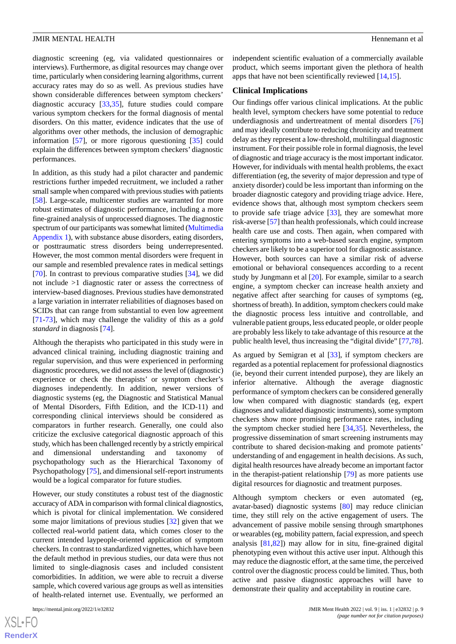diagnostic screening (eg, via validated questionnaires or interviews). Furthermore, as digital resources may change over time, particularly when considering learning algorithms, current accuracy rates may do so as well. As previous studies have shown considerable differences between symptom checkers' diagnostic accuracy [\[33](#page-10-23),[35\]](#page-11-0), future studies could compare various symptom checkers for the formal diagnosis of mental disorders. On this matter, evidence indicates that the use of algorithms over other methods, the inclusion of demographic information [\[57](#page-11-22)], or more rigorous questioning [\[35](#page-11-0)] could explain the differences between symptom checkers' diagnostic performances.

In addition, as this study had a pilot character and pandemic restrictions further impeded recruitment, we included a rather small sample when compared with previous studies with patients [[58\]](#page-11-23). Large-scale, multicenter studies are warranted for more robust estimates of diagnostic performance, including a more fine-grained analysis of unprocessed diagnoses. The diagnostic spectrum of our participants was somewhat limited ([Multimedia](#page-9-9) [Appendix 1](#page-9-9)), with substance abuse disorders, eating disorders, or posttraumatic stress disorders being underrepresented. However, the most common mental disorders were frequent in our sample and resembled prevalence rates in medical settings [[70\]](#page-12-7). In contrast to previous comparative studies [\[34](#page-10-24)], we did not include >1 diagnostic rater or assess the correctness of interview-based diagnoses. Previous studies have demonstrated a large variation in interrater reliabilities of diagnoses based on SCIDs that can range from substantial to even low agreement [[71](#page-12-8)[-73](#page-12-9)], which may challenge the validity of this as a *gold standard* in diagnosis [\[74](#page-12-10)].

Although the therapists who participated in this study were in advanced clinical training, including diagnostic training and regular supervision, and thus were experienced in performing diagnostic procedures, we did not assess the level of (diagnostic) experience or check the therapists' or symptom checker's diagnoses independently. In addition, newer versions of diagnostic systems (eg, the Diagnostic and Statistical Manual of Mental Disorders, Fifth Edition, and the ICD-11) and corresponding clinical interviews should be considered as comparators in further research. Generally, one could also criticize the exclusive categorical diagnostic approach of this study, which has been challenged recently by a strictly empirical and dimensional understanding and taxonomy of psychopathology such as the Hierarchical Taxonomy of Psychopathology [[75\]](#page-12-11), and dimensional self-report instruments would be a logical comparator for future studies.

However, our study constitutes a robust test of the diagnostic accuracy of ADA in comparison with formal clinical diagnostics, which is pivotal for clinical implementation. We considered some major limitations of previous studies [\[32](#page-10-22)] given that we collected real-world patient data, which comes closer to the current intended laypeople-oriented application of symptom checkers. In contrast to standardized vignettes, which have been the default method in previous studies, our data were thus not limited to single-diagnosis cases and included consistent comorbidities. In addition, we were able to recruit a diverse sample, which covered various age groups as well as intensities of health-related internet use. Eventually, we performed an

[XSL](http://www.w3.org/Style/XSL)•FO **[RenderX](http://www.renderx.com/)**

independent scientific evaluation of a commercially available product, which seems important given the plethora of health apps that have not been scientifically reviewed [[14,](#page-10-4)[15](#page-10-5)].

#### **Clinical Implications**

Our findings offer various clinical implications. At the public health level, symptom checkers have some potential to reduce underdiagnosis and undertreatment of mental disorders [\[76](#page-12-12)] and may ideally contribute to reducing chronicity and treatment delay as they represent a low-threshold, multilingual diagnostic instrument. For their possible role in formal diagnosis, the level of diagnostic and triage accuracy is the most important indicator. However, for individuals with mental health problems, the exact differentiation (eg, the severity of major depression and type of anxiety disorder) could be less important than informing on the broader diagnostic category and providing triage advice. Here, evidence shows that, although most symptom checkers seem to provide safe triage advice [\[33](#page-10-23)], they are somewhat more risk-averse [\[57](#page-11-22)] than health professionals, which could increase health care use and costs. Then again, when compared with entering symptoms into a web-based search engine, symptom checkers are likely to be a superior tool for diagnostic assistance. However, both sources can have a similar risk of adverse emotional or behavioral consequences according to a recent study by Jungmann et al [[20\]](#page-10-10). For example, similar to a search engine, a symptom checker can increase health anxiety and negative affect after searching for causes of symptoms (eg, shortness of breath). In addition, symptom checkers could make the diagnostic process less intuitive and controllable, and vulnerable patient groups, less educated people, or older people are probably less likely to take advantage of this resource at the public health level, thus increasing the "digital divide" [\[77](#page-12-13),[78\]](#page-12-14).

As argued by Semigran et al [\[33](#page-10-23)], if symptom checkers are regarded as a potential replacement for professional diagnostics (ie, beyond their current intended purpose), they are likely an inferior alternative. Although the average diagnostic performance of symptom checkers can be considered generally low when compared with diagnostic standards (eg, expert diagnoses and validated diagnostic instruments), some symptom checkers show more promising performance rates, including the symptom checker studied here [\[34](#page-10-24),[35\]](#page-11-0). Nevertheless, the progressive dissemination of smart screening instruments may contribute to shared decision-making and promote patients' understanding of and engagement in health decisions. As such, digital health resources have already become an important factor in the therapist-patient relationship [[79\]](#page-12-15) as more patients use digital resources for diagnostic and treatment purposes.

Although symptom checkers or even automated (eg, avatar-based) diagnostic systems [\[80](#page-12-16)] may reduce clinician time, they still rely on the active engagement of users. The advancement of passive mobile sensing through smartphones or wearables (eg, mobility pattern, facial expression, and speech analysis [[81,](#page-12-17)[82](#page-12-18)]) may allow for in situ, fine-grained digital phenotyping even without this active user input. Although this may reduce the diagnostic effort, at the same time, the perceived control over the diagnostic process could be limited. Thus, both active and passive diagnostic approaches will have to demonstrate their quality and acceptability in routine care.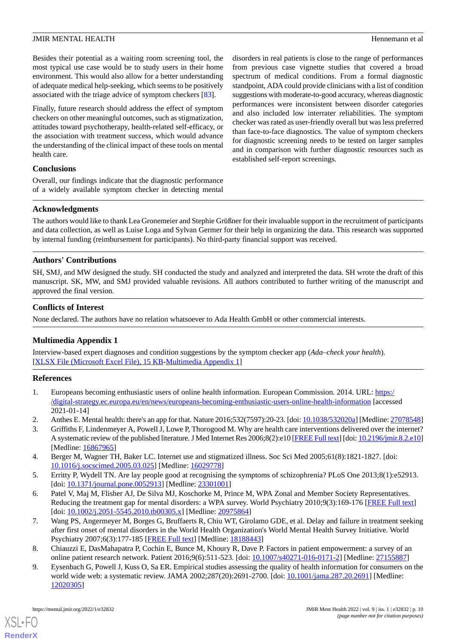Besides their potential as a waiting room screening tool, the most typical use case would be to study users in their home environment. This would also allow for a better understanding of adequate medical help-seeking, which seems to be positively associated with the triage advice of symptom checkers [\[83](#page-12-19)].

Finally, future research should address the effect of symptom checkers on other meaningful outcomes, such as stigmatization, attitudes toward psychotherapy, health-related self-efficacy, or the association with treatment success, which would advance the understanding of the clinical impact of these tools on mental health care.

disorders in real patients is close to the range of performances from previous case vignette studies that covered a broad spectrum of medical conditions. From a formal diagnostic standpoint, ADA could provide clinicians with a list of condition suggestions with moderate-to-good accuracy, whereas diagnostic performances were inconsistent between disorder categories and also included low interrater reliabilities. The symptom checker was rated as user-friendly overall but was less preferred than face-to-face diagnostics. The value of symptom checkers for diagnostic screening needs to be tested on larger samples and in comparison with further diagnostic resources such as established self-report screenings.

# **Conclusions**

Overall, our findings indicate that the diagnostic performance of a widely available symptom checker in detecting mental

# **Acknowledgments**

The authors would like to thank Lea Gronemeier and Stephie Grüßner for their invaluable support in the recruitment of participants and data collection, as well as Luise Loga and Sylvan Germer for their help in organizing the data. This research was supported by internal funding (reimbursement for participants). No third-party financial support was received.

# **Authors' Contributions**

SH, SMJ, and MW designed the study. SH conducted the study and analyzed and interpreted the data. SH wrote the draft of this manuscript. SK, MW, and SMJ provided valuable revisions. All authors contributed to further writing of the manuscript and approved the final version.

# <span id="page-9-9"></span>**Conflicts of Interest**

None declared. The authors have no relation whatsoever to Ada Health GmbH or other commercial interests.

# **Multimedia Appendix 1**

<span id="page-9-0"></span>Interview-based expert diagnoses and condition suggestions by the symptom checker app (*Ada–check your health*). [[XLSX File \(Microsoft Excel File\), 15 KB](https://jmir.org/api/download?alt_name=mental_v9i1e32832_app1.xlsx&filename=001cd3f11170963a4754482fdcd0dce5.xlsx)-[Multimedia Appendix 1\]](https://jmir.org/api/download?alt_name=mental_v9i1e32832_app1.xlsx&filename=001cd3f11170963a4754482fdcd0dce5.xlsx)

#### <span id="page-9-1"></span>**References**

- <span id="page-9-2"></span>1. Europeans becoming enthusiastic users of online health information. European Commission. 2014. URL: [https:/](https://digital-strategy.ec.europa.eu/en/news/europeans-becoming-enthusiastic-users-online-health-information) [/digital-strategy.ec.europa.eu/en/news/europeans-becoming-enthusiastic-users-online-health-information](https://digital-strategy.ec.europa.eu/en/news/europeans-becoming-enthusiastic-users-online-health-information) [accessed 2021-01-14]
- <span id="page-9-3"></span>2. Anthes E. Mental health: there's an app for that. Nature 2016;532(7597):20-23. [doi: [10.1038/532020a](http://dx.doi.org/10.1038/532020a)] [Medline: [27078548\]](http://www.ncbi.nlm.nih.gov/entrez/query.fcgi?cmd=Retrieve&db=PubMed&list_uids=27078548&dopt=Abstract)
- <span id="page-9-4"></span>3. Griffiths F, Lindenmeyer A, Powell J, Lowe P, Thorogood M. Why are health care interventions delivered over the internet? A systematic review of the published literature. J Med Internet Res 2006;8(2):e10 [[FREE Full text\]](http://www.jmir.org/2006/2/e10/) [doi: [10.2196/jmir.8.2.e10\]](http://dx.doi.org/10.2196/jmir.8.2.e10) [Medline: [16867965](http://www.ncbi.nlm.nih.gov/entrez/query.fcgi?cmd=Retrieve&db=PubMed&list_uids=16867965&dopt=Abstract)]
- <span id="page-9-5"></span>4. Berger M, Wagner TH, Baker LC. Internet use and stigmatized illness. Soc Sci Med 2005;61(8):1821-1827. [doi: [10.1016/j.socscimed.2005.03.025](http://dx.doi.org/10.1016/j.socscimed.2005.03.025)] [Medline: [16029778](http://www.ncbi.nlm.nih.gov/entrez/query.fcgi?cmd=Retrieve&db=PubMed&list_uids=16029778&dopt=Abstract)]
- <span id="page-9-6"></span>5. Erritty P, Wydell TN. Are lay people good at recognising the symptoms of schizophrenia? PLoS One 2013;8(1):e52913. [doi: [10.1371/journal.pone.0052913\]](http://dx.doi.org/10.1371/journal.pone.0052913) [Medline: [23301001\]](http://www.ncbi.nlm.nih.gov/entrez/query.fcgi?cmd=Retrieve&db=PubMed&list_uids=23301001&dopt=Abstract)
- <span id="page-9-7"></span>6. Patel V, Maj M, Flisher AJ, De Silva MJ, Koschorke M, Prince M, WPA Zonal and Member Society Representatives. Reducing the treatment gap for mental disorders: a WPA survey. World Psychiatry 2010;9(3):169-176 [[FREE Full text](http://onlinelibrary.wiley.com/resolve/openurl?genre=article&sid=nlm:pubmed&issn=1723-8617&date=2010&volume=9&issue=3&spage=169)] [doi: [10.1002/j.2051-5545.2010.tb00305.x](http://dx.doi.org/10.1002/j.2051-5545.2010.tb00305.x)] [Medline: [20975864\]](http://www.ncbi.nlm.nih.gov/entrez/query.fcgi?cmd=Retrieve&db=PubMed&list_uids=20975864&dopt=Abstract)
- <span id="page-9-8"></span>7. Wang PS, Angermeyer M, Borges G, Bruffaerts R, Chiu WT, Girolamo GDE, et al. Delay and failure in treatment seeking after first onset of mental disorders in the World Health Organization's World Mental Health Survey Initiative. World Psychiatry 2007;6(3):177-185 [[FREE Full text](http://onlinelibrary.wiley.com/resolve/openurl?genre=article&sid=nlm:pubmed&issn=1723-8617&date=2007&volume=6&issue=3&spage=177)] [Medline: [18188443\]](http://www.ncbi.nlm.nih.gov/entrez/query.fcgi?cmd=Retrieve&db=PubMed&list_uids=18188443&dopt=Abstract)
- 8. Chiauzzi E, DasMahapatra P, Cochin E, Bunce M, Khoury R, Dave P. Factors in patient empowerment: a survey of an online patient research network. Patient 2016;9(6):511-523. [doi: [10.1007/s40271-016-0171-2\]](http://dx.doi.org/10.1007/s40271-016-0171-2) [Medline: [27155887](http://www.ncbi.nlm.nih.gov/entrez/query.fcgi?cmd=Retrieve&db=PubMed&list_uids=27155887&dopt=Abstract)]
- 9. Eysenbach G, Powell J, Kuss O, Sa ER. Empirical studies assessing the quality of health information for consumers on the world wide web: a systematic review. JAMA 2002;287(20):2691-2700. [doi: [10.1001/jama.287.20.2691](http://dx.doi.org/10.1001/jama.287.20.2691)] [Medline: [12020305](http://www.ncbi.nlm.nih.gov/entrez/query.fcgi?cmd=Retrieve&db=PubMed&list_uids=12020305&dopt=Abstract)]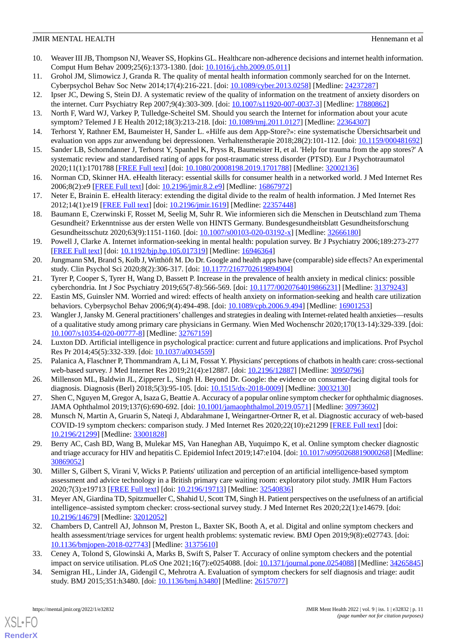# **JMIR MENTAL HEALTH Hence All and Solution**  $\blacksquare$  **Hence All and Solution Hennemann et all and Solution Hennemann et all**

- <span id="page-10-0"></span>10. Weaver III JB, Thompson NJ, Weaver SS, Hopkins GL. Healthcare non-adherence decisions and internet health information. Comput Hum Behav 2009;25(6):1373-1380. [doi: [10.1016/j.chb.2009.05.011\]](http://dx.doi.org/10.1016/j.chb.2009.05.011)
- <span id="page-10-2"></span><span id="page-10-1"></span>11. Grohol JM, Slimowicz J, Granda R. The quality of mental health information commonly searched for on the Internet. Cyberpsychol Behav Soc Netw 2014;17(4):216-221. [doi: [10.1089/cyber.2013.0258\]](http://dx.doi.org/10.1089/cyber.2013.0258) [Medline: [24237287\]](http://www.ncbi.nlm.nih.gov/entrez/query.fcgi?cmd=Retrieve&db=PubMed&list_uids=24237287&dopt=Abstract)
- <span id="page-10-3"></span>12. Ipser JC, Dewing S, Stein DJ. A systematic review of the quality of information on the treatment of anxiety disorders on the internet. Curr Psychiatry Rep 2007;9(4):303-309. [doi: [10.1007/s11920-007-0037-3](http://dx.doi.org/10.1007/s11920-007-0037-3)] [Medline: [17880862\]](http://www.ncbi.nlm.nih.gov/entrez/query.fcgi?cmd=Retrieve&db=PubMed&list_uids=17880862&dopt=Abstract)
- <span id="page-10-4"></span>13. North F, Ward WJ, Varkey P, Tulledge-Scheitel SM. Should you search the Internet for information about your acute symptom? Telemed J E Health 2012;18(3):213-218. [doi: [10.1089/tmj.2011.0127](http://dx.doi.org/10.1089/tmj.2011.0127)] [Medline: [22364307\]](http://www.ncbi.nlm.nih.gov/entrez/query.fcgi?cmd=Retrieve&db=PubMed&list_uids=22364307&dopt=Abstract)
- <span id="page-10-5"></span>14. Terhorst Y, Rathner EM, Baumeister H, Sander L. «Hilfe aus dem App-Store?»: eine systematische Übersichtsarbeit und evaluation von apps zur anwendung bei depressionen. Verhaltenstherapie 2018;28(2):101-112. [doi: [10.1159/000481692](http://dx.doi.org/10.1159/000481692)]
- <span id="page-10-6"></span>15. Sander LB, Schorndanner J, Terhorst Y, Spanhel K, Pryss R, Baumeister H, et al. 'Help for trauma from the app stores?' A systematic review and standardised rating of apps for post-traumatic stress disorder (PTSD). Eur J Psychotraumatol 2020;11(1):1701788 [[FREE Full text\]](http://europepmc.org/abstract/MED/32002136) [doi: [10.1080/20008198.2019.1701788\]](http://dx.doi.org/10.1080/20008198.2019.1701788) [Medline: [32002136](http://www.ncbi.nlm.nih.gov/entrez/query.fcgi?cmd=Retrieve&db=PubMed&list_uids=32002136&dopt=Abstract)]
- <span id="page-10-7"></span>16. Norman CD, Skinner HA. eHealth literacy: essential skills for consumer health in a networked world. J Med Internet Res 2006;8(2):e9 [\[FREE Full text](http://www.jmir.org/2006/2/e9/)] [doi: [10.2196/jmir.8.2.e9\]](http://dx.doi.org/10.2196/jmir.8.2.e9) [Medline: [16867972\]](http://www.ncbi.nlm.nih.gov/entrez/query.fcgi?cmd=Retrieve&db=PubMed&list_uids=16867972&dopt=Abstract)
- <span id="page-10-8"></span>17. Neter E, Brainin E. eHealth literacy: extending the digital divide to the realm of health information. J Med Internet Res 2012;14(1):e19 [\[FREE Full text](https://www.jmir.org/2012/1/e19/)] [doi: [10.2196/jmir.1619\]](http://dx.doi.org/10.2196/jmir.1619) [Medline: [22357448](http://www.ncbi.nlm.nih.gov/entrez/query.fcgi?cmd=Retrieve&db=PubMed&list_uids=22357448&dopt=Abstract)]
- <span id="page-10-9"></span>18. Baumann E, Czerwinski F, Rosset M, Seelig M, Suhr R. Wie informieren sich die Menschen in Deutschland zum Thema Gesundheit? Erkenntnisse aus der ersten Welle von HINTS Germany. Bundesgesundheitsblatt Gesundheitsforschung Gesundheitsschutz 2020;63(9):1151-1160. [doi: [10.1007/s00103-020-03192-x](http://dx.doi.org/10.1007/s00103-020-03192-x)] [Medline: [32666180\]](http://www.ncbi.nlm.nih.gov/entrez/query.fcgi?cmd=Retrieve&db=PubMed&list_uids=32666180&dopt=Abstract)
- <span id="page-10-10"></span>19. Powell J, Clarke A. Internet information-seeking in mental health: population survey. Br J Psychiatry 2006;189:273-277 [[FREE Full text](http://bjp.rcpsych.org/cgi/pmidlookup?view=long&pmid=16946364)] [doi: [10.1192/bjp.bp.105.017319](http://dx.doi.org/10.1192/bjp.bp.105.017319)] [Medline: [16946364\]](http://www.ncbi.nlm.nih.gov/entrez/query.fcgi?cmd=Retrieve&db=PubMed&list_uids=16946364&dopt=Abstract)
- <span id="page-10-12"></span><span id="page-10-11"></span>20. Jungmann SM, Brand S, Kolb J, Witthöft M. Do Dr. Google and health apps have (comparable) side effects? An experimental study. Clin Psychol Sci 2020;8(2):306-317. [doi: [10.1177/2167702619894904\]](http://dx.doi.org/10.1177/2167702619894904)
- <span id="page-10-13"></span>21. Tyrer P, Cooper S, Tyrer H, Wang D, Bassett P. Increase in the prevalence of health anxiety in medical clinics: possible cyberchondria. Int J Soc Psychiatry 2019;65(7-8):566-569. [doi: [10.1177/0020764019866231](http://dx.doi.org/10.1177/0020764019866231)] [Medline: [31379243](http://www.ncbi.nlm.nih.gov/entrez/query.fcgi?cmd=Retrieve&db=PubMed&list_uids=31379243&dopt=Abstract)]
- 22. Eastin MS, Guinsler NM. Worried and wired: effects of health anxiety on information-seeking and health care utilization behaviors. Cyberpsychol Behav 2006;9(4):494-498. [doi: [10.1089/cpb.2006.9.494\]](http://dx.doi.org/10.1089/cpb.2006.9.494) [Medline: [16901253\]](http://www.ncbi.nlm.nih.gov/entrez/query.fcgi?cmd=Retrieve&db=PubMed&list_uids=16901253&dopt=Abstract)
- <span id="page-10-15"></span><span id="page-10-14"></span>23. Wangler J, Jansky M. General practitioners'challenges and strategies in dealing with Internet-related health anxieties—results of a qualitative study among primary care physicians in Germany. Wien Med Wochenschr 2020;170(13-14):329-339. [doi: [10.1007/s10354-020-00777-8\]](http://dx.doi.org/10.1007/s10354-020-00777-8) [Medline: [32767159\]](http://www.ncbi.nlm.nih.gov/entrez/query.fcgi?cmd=Retrieve&db=PubMed&list_uids=32767159&dopt=Abstract)
- <span id="page-10-16"></span>24. Luxton DD. Artificial intelligence in psychological practice: current and future applications and implications. Prof Psychol Res Pr 2014;45(5):332-339. [doi: [10.1037/a0034559](http://dx.doi.org/10.1037/a0034559)]
- <span id="page-10-17"></span>25. Palanica A, Flaschner P, Thommandram A, Li M, Fossat Y. Physicians' perceptions of chatbots in health care: cross-sectional web-based survey. J Med Internet Res 2019;21(4):e12887. [doi: [10.2196/12887](http://dx.doi.org/10.2196/12887)] [Medline: [30950796\]](http://www.ncbi.nlm.nih.gov/entrez/query.fcgi?cmd=Retrieve&db=PubMed&list_uids=30950796&dopt=Abstract)
- <span id="page-10-18"></span>26. Millenson ML, Baldwin JL, Zipperer L, Singh H. Beyond Dr. Google: the evidence on consumer-facing digital tools for diagnosis. Diagnosis (Berl) 2018;5(3):95-105. [doi: [10.1515/dx-2018-0009](http://dx.doi.org/10.1515/dx-2018-0009)] [Medline: [30032130\]](http://www.ncbi.nlm.nih.gov/entrez/query.fcgi?cmd=Retrieve&db=PubMed&list_uids=30032130&dopt=Abstract)
- <span id="page-10-19"></span>27. Shen C, Nguyen M, Gregor A, Isaza G, Beattie A. Accuracy of a popular online symptom checker for ophthalmic diagnoses. JAMA Ophthalmol 2019;137(6):690-692. [doi: [10.1001/jamaophthalmol.2019.0571](http://dx.doi.org/10.1001/jamaophthalmol.2019.0571)] [Medline: [30973602\]](http://www.ncbi.nlm.nih.gov/entrez/query.fcgi?cmd=Retrieve&db=PubMed&list_uids=30973602&dopt=Abstract)
- <span id="page-10-20"></span>28. Munsch N, Martin A, Gruarin S, Nateqi J, Abdarahmane I, Weingartner-Ortner R, et al. Diagnostic accuracy of web-based COVID-19 symptom checkers: comparison study. J Med Internet Res 2020;22(10):e21299 [\[FREE Full text\]](https://www.jmir.org/2020/10/e21299/) [doi: [10.2196/21299\]](http://dx.doi.org/10.2196/21299) [Medline: [33001828\]](http://www.ncbi.nlm.nih.gov/entrez/query.fcgi?cmd=Retrieve&db=PubMed&list_uids=33001828&dopt=Abstract)
- <span id="page-10-21"></span>29. Berry AC, Cash BD, Wang B, Mulekar MS, Van Haneghan AB, Yuquimpo K, et al. Online symptom checker diagnostic and triage accuracy for HIV and hepatitis C. Epidemiol Infect 2019;147:e104. [doi: [10.1017/s0950268819000268\]](http://dx.doi.org/10.1017/s0950268819000268) [Medline: [30869052](http://www.ncbi.nlm.nih.gov/entrez/query.fcgi?cmd=Retrieve&db=PubMed&list_uids=30869052&dopt=Abstract)]
- <span id="page-10-22"></span>30. Miller S, Gilbert S, Virani V, Wicks P. Patients' utilization and perception of an artificial intelligence-based symptom assessment and advice technology in a British primary care waiting room: exploratory pilot study. JMIR Hum Factors 2020;7(3):e19713 [\[FREE Full text](https://humanfactors.jmir.org/2020/3/e19713/)] [doi: [10.2196/19713\]](http://dx.doi.org/10.2196/19713) [Medline: [32540836\]](http://www.ncbi.nlm.nih.gov/entrez/query.fcgi?cmd=Retrieve&db=PubMed&list_uids=32540836&dopt=Abstract)
- <span id="page-10-23"></span>31. Meyer AN, Giardina TD, Spitzmueller C, Shahid U, Scott TM, Singh H. Patient perspectives on the usefulness of an artificial intelligence–assisted symptom checker: cross-sectional survey study. J Med Internet Res 2020;22(1):e14679. [doi: [10.2196/14679\]](http://dx.doi.org/10.2196/14679) [Medline: [32012052\]](http://www.ncbi.nlm.nih.gov/entrez/query.fcgi?cmd=Retrieve&db=PubMed&list_uids=32012052&dopt=Abstract)
- <span id="page-10-24"></span>32. Chambers D, Cantrell AJ, Johnson M, Preston L, Baxter SK, Booth A, et al. Digital and online symptom checkers and health assessment/triage services for urgent health problems: systematic review. BMJ Open 2019;9(8):e027743. [doi: [10.1136/bmjopen-2018-027743\]](http://dx.doi.org/10.1136/bmjopen-2018-027743) [Medline: [31375610](http://www.ncbi.nlm.nih.gov/entrez/query.fcgi?cmd=Retrieve&db=PubMed&list_uids=31375610&dopt=Abstract)]
- 33. Ceney A, Tolond S, Glowinski A, Marks B, Swift S, Palser T. Accuracy of online symptom checkers and the potential impact on service utilisation. PLoS One 2021;16(7):e0254088. [doi: [10.1371/journal.pone.0254088](http://dx.doi.org/10.1371/journal.pone.0254088)] [Medline: [34265845](http://www.ncbi.nlm.nih.gov/entrez/query.fcgi?cmd=Retrieve&db=PubMed&list_uids=34265845&dopt=Abstract)]
- 34. Semigran HL, Linder JA, Gidengil C, Mehrotra A. Evaluation of symptom checkers for self diagnosis and triage: audit study. BMJ 2015;351:h3480. [doi: [10.1136/bmj.h3480\]](http://dx.doi.org/10.1136/bmj.h3480) [Medline: [26157077](http://www.ncbi.nlm.nih.gov/entrez/query.fcgi?cmd=Retrieve&db=PubMed&list_uids=26157077&dopt=Abstract)]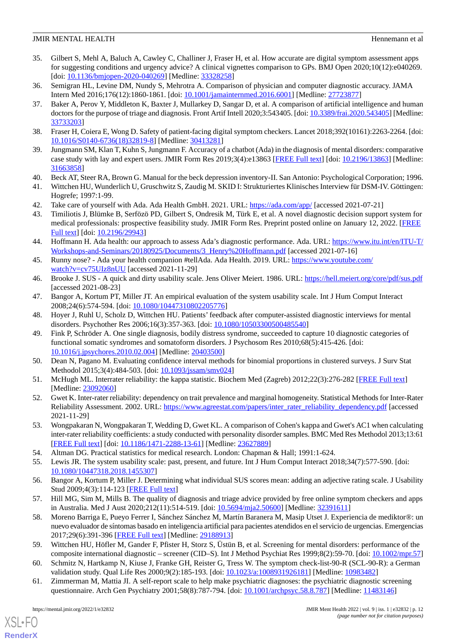# **JMIR MENTAL HEALTH Hence All and Solution**  $\blacksquare$  **Hence All and Solution Hennemann et all and Solution Hennemann et all**

- <span id="page-11-0"></span>35. Gilbert S, Mehl A, Baluch A, Cawley C, Challiner J, Fraser H, et al. How accurate are digital symptom assessment apps for suggesting conditions and urgency advice? A clinical vignettes comparison to GPs. BMJ Open 2020;10(12):e040269. [doi: [10.1136/bmjopen-2020-040269\]](http://dx.doi.org/10.1136/bmjopen-2020-040269) [Medline: [33328258\]](http://www.ncbi.nlm.nih.gov/entrez/query.fcgi?cmd=Retrieve&db=PubMed&list_uids=33328258&dopt=Abstract)
- <span id="page-11-2"></span><span id="page-11-1"></span>36. Semigran HL, Levine DM, Nundy S, Mehrotra A. Comparison of physician and computer diagnostic accuracy. JAMA Intern Med 2016;176(12):1860-1861. [doi: [10.1001/jamainternmed.2016.6001\]](http://dx.doi.org/10.1001/jamainternmed.2016.6001) [Medline: [27723877\]](http://www.ncbi.nlm.nih.gov/entrez/query.fcgi?cmd=Retrieve&db=PubMed&list_uids=27723877&dopt=Abstract)
- 37. Baker A, Perov Y, Middleton K, Baxter J, Mullarkey D, Sangar D, et al. A comparison of artificial intelligence and human doctors for the purpose of triage and diagnosis. Front Artif Intell 2020;3:543405. [doi: [10.3389/frai.2020.543405](http://dx.doi.org/10.3389/frai.2020.543405)] [Medline: [33733203](http://www.ncbi.nlm.nih.gov/entrez/query.fcgi?cmd=Retrieve&db=PubMed&list_uids=33733203&dopt=Abstract)]
- <span id="page-11-4"></span><span id="page-11-3"></span>38. Fraser H, Coiera E, Wong D. Safety of patient-facing digital symptom checkers. Lancet 2018;392(10161):2263-2264. [doi: [10.1016/S0140-6736\(18\)32819-8\]](http://dx.doi.org/10.1016/S0140-6736(18)32819-8) [Medline: [30413281](http://www.ncbi.nlm.nih.gov/entrez/query.fcgi?cmd=Retrieve&db=PubMed&list_uids=30413281&dopt=Abstract)]
- <span id="page-11-5"></span>39. Jungmann SM, Klan T, Kuhn S, Jungmann F. Accuracy of a chatbot (Ada) in the diagnosis of mental disorders: comparative case study with lay and expert users. JMIR Form Res 2019;3(4):e13863 [[FREE Full text\]](https://formative.jmir.org/2019/4/e13863/) [doi: [10.2196/13863](http://dx.doi.org/10.2196/13863)] [Medline: [31663858](http://www.ncbi.nlm.nih.gov/entrez/query.fcgi?cmd=Retrieve&db=PubMed&list_uids=31663858&dopt=Abstract)]
- <span id="page-11-6"></span>40. Beck AT, Steer RA, Brown G. Manual for the beck depression inventory-II. San Antonio: Psychological Corporation; 1996.
- <span id="page-11-8"></span><span id="page-11-7"></span>41. Wittchen HU, Wunderlich U, Gruschwitz S, Zaudig M. SKID I: Strukturiertes Klinisches Interview für DSM-IV. Göttingen: Hogrefe; 1997:1-99.
- 42. Take care of yourself with Ada. Ada Health GmbH. 2021. URL:<https://ada.com/app/> [accessed 2021-07-21]
- <span id="page-11-9"></span>43. Timiliotis J, Blümke B, Serfözö PD, Gilbert S, Ondresik M, Türk E, et al. A novel diagnostic decision support system for medical professionals: prospective feasibility study. JMIR Form Res. Preprint posted online on January 12, 2022. [\[FREE](https://preprints.jmir.org/preprint/29943) [Full text\]](https://preprints.jmir.org/preprint/29943) [doi: [10.2196/29943\]](http://dx.doi.org/10.2196/29943)
- <span id="page-11-10"></span>44. Hoffmann H. Ada health: our approach to assess Ada's diagnostic performance. Ada. URL: [https://www.itu.int/en/ITU-T/](https://www.itu.int/en/ITU-T/Workshops-and-Seminars/20180925/Documents/3_Henry%20Hoffmann.pdf) [Workshops-and-Seminars/20180925/Documents/3\\_Henry%20Hoffmann.pdf](https://www.itu.int/en/ITU-T/Workshops-and-Seminars/20180925/Documents/3_Henry%20Hoffmann.pdf) [accessed 2021-07-16]
- <span id="page-11-12"></span><span id="page-11-11"></span>45. Runny nose? - Ada your health companion #tellAda. Ada Health. 2019. URL: [https://www.youtube.com/](https://www.youtube.com/watch?v=cv75UIz8nUU) [watch?v=cv75UIz8nUU](https://www.youtube.com/watch?v=cv75UIz8nUU) [accessed 2021-11-29]
- <span id="page-11-13"></span>46. Brooke J. SUS - A quick and dirty usability scale. Jens Oliver Meiert. 1986. URL: <https://hell.meiert.org/core/pdf/sus.pdf> [accessed 2021-08-23]
- <span id="page-11-14"></span>47. Bangor A, Kortum PT, Miller JT. An empirical evaluation of the system usability scale. Int J Hum Comput Interact 2008;24(6):574-594. [doi: [10.1080/10447310802205776\]](http://dx.doi.org/10.1080/10447310802205776)
- 48. Hoyer J, Ruhl U, Scholz D, Wittchen HU. Patients' feedback after computer-assisted diagnostic interviews for mental disorders. Psychother Res 2006;16(3):357-363. [doi: [10.1080/10503300500485540\]](http://dx.doi.org/10.1080/10503300500485540)
- <span id="page-11-16"></span><span id="page-11-15"></span>49. Fink P, Schröder A. One single diagnosis, bodily distress syndrome, succeeded to capture 10 diagnostic categories of functional somatic syndromes and somatoform disorders. J Psychosom Res 2010;68(5):415-426. [doi: [10.1016/j.jpsychores.2010.02.004](http://dx.doi.org/10.1016/j.jpsychores.2010.02.004)] [Medline: [20403500](http://www.ncbi.nlm.nih.gov/entrez/query.fcgi?cmd=Retrieve&db=PubMed&list_uids=20403500&dopt=Abstract)]
- <span id="page-11-17"></span>50. Dean N, Pagano M. Evaluating confidence interval methods for binomial proportions in clustered surveys. J Surv Stat Methodol 2015;3(4):484-503. [doi: [10.1093/jssam/smv024](http://dx.doi.org/10.1093/jssam/smv024)]
- <span id="page-11-18"></span>51. McHugh ML. Interrater reliability: the kappa statistic. Biochem Med (Zagreb) 2012;22(3):276-282 [\[FREE Full text\]](http://www.pubmedcentral.nih.gov/articlerender.fcgi?artid=3900052&tool=pmcentrez&rendertype=abstract) [Medline: [23092060](http://www.ncbi.nlm.nih.gov/entrez/query.fcgi?cmd=Retrieve&db=PubMed&list_uids=23092060&dopt=Abstract)]
- <span id="page-11-19"></span>52. Gwet K. Inter-rater reliability: dependency on trait prevalence and marginal homogeneity. Statistical Methods for Inter-Rater Reliability Assessment. 2002. URL: [https://www.agreestat.com/papers/inter\\_rater\\_reliability\\_dependency.pdf](https://www.agreestat.com/papers/inter_rater_reliability_dependency.pdf) [accessed 2021-11-29]
- <span id="page-11-21"></span><span id="page-11-20"></span>53. Wongpakaran N, Wongpakaran T, Wedding D, Gwet KL. A comparison of Cohen's kappa and Gwet's AC1 when calculating inter-rater reliability coefficients: a study conducted with personality disorder samples. BMC Med Res Methodol 2013;13:61 [[FREE Full text](http://bmcmedresmethodol.biomedcentral.com/articles/10.1186/1471-2288-13-61)] [doi: [10.1186/1471-2288-13-61\]](http://dx.doi.org/10.1186/1471-2288-13-61) [Medline: [23627889](http://www.ncbi.nlm.nih.gov/entrez/query.fcgi?cmd=Retrieve&db=PubMed&list_uids=23627889&dopt=Abstract)]
- <span id="page-11-22"></span>54. Altman DG. Practical statistics for medical research. London: Chapman & Hall; 1991:1-624.
- <span id="page-11-23"></span>55. Lewis JR. The system usability scale: past, present, and future. Int J Hum Comput Interact 2018;34(7):577-590. [doi: [10.1080/10447318.2018.1455307\]](http://dx.doi.org/10.1080/10447318.2018.1455307)
- 56. Bangor A, Kortum P, Miller J. Determining what individual SUS scores mean: adding an adjective rating scale. J Usability Stud 2009;4(3):114-123 [[FREE Full text](https://uxpajournal.org/wp-content/uploads/sites/7/pdf/JUS_Bangor_May2009.pdf)]
- <span id="page-11-24"></span>57. Hill MG, Sim M, Mills B. The quality of diagnosis and triage advice provided by free online symptom checkers and apps in Australia. Med J Aust 2020;212(11):514-519. [doi: [10.5694/mja2.50600\]](http://dx.doi.org/10.5694/mja2.50600) [Medline: [32391611\]](http://www.ncbi.nlm.nih.gov/entrez/query.fcgi?cmd=Retrieve&db=PubMed&list_uids=32391611&dopt=Abstract)
- 58. Moreno Barriga E, Pueyo Ferrer I, Sánchez Sánchez M, Martín Baranera M, Masip Utset J. Experiencia de mediktor®: un nuevo evaluador de síntomas basado en inteligencia artificial para pacientes atendidos en el servicio de urgencias. Emergencias 2017;29(6):391-396 [[FREE Full text](http://emergencias.portalsemes.org/descargar/experiencia-de-mediktor-un-nuevo-evaluador-de-sntomas-basado-en-inteligencia-artificial-para-pacientes-atendidos-en-el-servicio-de-urgencias/)] [Medline: [29188913](http://www.ncbi.nlm.nih.gov/entrez/query.fcgi?cmd=Retrieve&db=PubMed&list_uids=29188913&dopt=Abstract)]
- 59. Wittchen HU, Höfler M, Gander F, Pfister H, Storz S, Üstün B, et al. Screening for mental disorders: performance of the composite international diagnostic – screener (CID–S). Int J Method Psychiat Res 1999;8(2):59-70. [doi: [10.1002/mpr.57](http://dx.doi.org/10.1002/mpr.57)]
- 60. Schmitz N, Hartkamp N, Kiuse J, Franke GH, Reister G, Tress W. The symptom check-list-90-R (SCL-90-R): a German validation study. Qual Life Res 2000;9(2):185-193. [doi: [10.1023/a:1008931926181\]](http://dx.doi.org/10.1023/a:1008931926181) [Medline: [10983482\]](http://www.ncbi.nlm.nih.gov/entrez/query.fcgi?cmd=Retrieve&db=PubMed&list_uids=10983482&dopt=Abstract)
- 61. Zimmerman M, Mattia JI. A self-report scale to help make psychiatric diagnoses: the psychiatric diagnostic screening questionnaire. Arch Gen Psychiatry 2001;58(8):787-794. [doi: [10.1001/archpsyc.58.8.787](http://dx.doi.org/10.1001/archpsyc.58.8.787)] [Medline: [11483146\]](http://www.ncbi.nlm.nih.gov/entrez/query.fcgi?cmd=Retrieve&db=PubMed&list_uids=11483146&dopt=Abstract)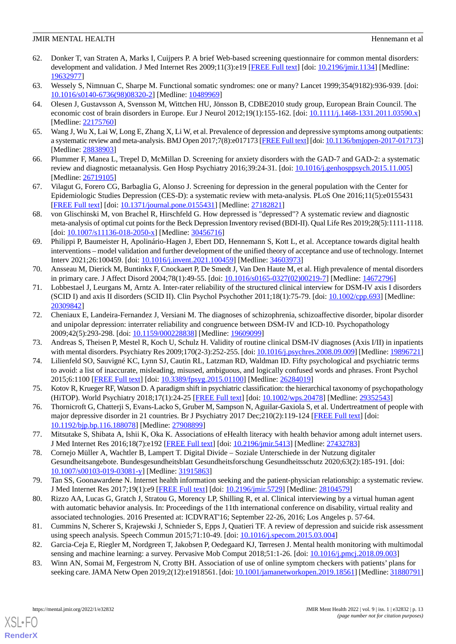# **JMIR MENTAL HEALTH Hence All and Solution**  $\blacksquare$  **Hence All and Solution Hennemann et all and Solution Hennemann et all**

- <span id="page-12-0"></span>62. Donker T, van Straten A, Marks I, Cuijpers P. A brief Web-based screening questionnaire for common mental disorders: development and validation. J Med Internet Res 2009;11(3):e19 [[FREE Full text](http://www.jmir.org/2009/3/e19/)] [doi: [10.2196/jmir.1134](http://dx.doi.org/10.2196/jmir.1134)] [Medline: [19632977](http://www.ncbi.nlm.nih.gov/entrez/query.fcgi?cmd=Retrieve&db=PubMed&list_uids=19632977&dopt=Abstract)]
- <span id="page-12-2"></span><span id="page-12-1"></span>63. Wessely S, Nimnuan C, Sharpe M. Functional somatic syndromes: one or many? Lancet 1999;354(9182):936-939. [doi: [10.1016/s0140-6736\(98\)08320-2](http://dx.doi.org/10.1016/s0140-6736(98)08320-2)] [Medline: [10489969\]](http://www.ncbi.nlm.nih.gov/entrez/query.fcgi?cmd=Retrieve&db=PubMed&list_uids=10489969&dopt=Abstract)
- 64. Olesen J, Gustavsson A, Svensson M, Wittchen HU, Jönsson B, CDBE2010 study group, European Brain Council. The economic cost of brain disorders in Europe. Eur J Neurol 2012;19(1):155-162. [doi: [10.1111/j.1468-1331.2011.03590.x\]](http://dx.doi.org/10.1111/j.1468-1331.2011.03590.x) [Medline: [22175760](http://www.ncbi.nlm.nih.gov/entrez/query.fcgi?cmd=Retrieve&db=PubMed&list_uids=22175760&dopt=Abstract)]
- <span id="page-12-4"></span><span id="page-12-3"></span>65. Wang J, Wu X, Lai W, Long E, Zhang X, Li W, et al. Prevalence of depression and depressive symptoms among outpatients: a systematic review and meta-analysis. BMJ Open 2017;7(8):e017173 [\[FREE Full text\]](http://bmjopen.bmj.com/cgi/pmidlookup?view=long&pmid=28838903) [doi: [10.1136/bmjopen-2017-017173\]](http://dx.doi.org/10.1136/bmjopen-2017-017173) [Medline: [28838903](http://www.ncbi.nlm.nih.gov/entrez/query.fcgi?cmd=Retrieve&db=PubMed&list_uids=28838903&dopt=Abstract)]
- 66. Plummer F, Manea L, Trepel D, McMillan D. Screening for anxiety disorders with the GAD-7 and GAD-2: a systematic review and diagnostic metaanalysis. Gen Hosp Psychiatry 2016;39:24-31. [doi: [10.1016/j.genhosppsych.2015.11.005](http://dx.doi.org/10.1016/j.genhosppsych.2015.11.005)] [Medline: [26719105](http://www.ncbi.nlm.nih.gov/entrez/query.fcgi?cmd=Retrieve&db=PubMed&list_uids=26719105&dopt=Abstract)]
- <span id="page-12-5"></span>67. Vilagut G, Forero CG, Barbaglia G, Alonso J. Screening for depression in the general population with the Center for Epidemiologic Studies Depression (CES-D): a systematic review with meta-analysis. PLoS One 2016;11(5):e0155431 [[FREE Full text](http://dx.plos.org/10.1371/journal.pone.0155431)] [doi: [10.1371/journal.pone.0155431](http://dx.doi.org/10.1371/journal.pone.0155431)] [Medline: [27182821](http://www.ncbi.nlm.nih.gov/entrez/query.fcgi?cmd=Retrieve&db=PubMed&list_uids=27182821&dopt=Abstract)]
- <span id="page-12-6"></span>68. von Glischinski M, von Brachel R, Hirschfeld G. How depressed is "depressed"? A systematic review and diagnostic meta-analysis of optimal cut points for the Beck Depression Inventory revised (BDI-II). Qual Life Res 2019;28(5):1111-1118. [doi: [10.1007/s11136-018-2050-x](http://dx.doi.org/10.1007/s11136-018-2050-x)] [Medline: [30456716\]](http://www.ncbi.nlm.nih.gov/entrez/query.fcgi?cmd=Retrieve&db=PubMed&list_uids=30456716&dopt=Abstract)
- <span id="page-12-7"></span>69. Philippi P, Baumeister H, Apolinário-Hagen J, Ebert DD, Hennemann S, Kott L, et al. Acceptance towards digital health interventions – model validation and further development of the unified theory of acceptance and use of technology. Internet Interv 2021;26:100459. [doi: [10.1016/j.invent.2021.100459\]](http://dx.doi.org/10.1016/j.invent.2021.100459) [Medline: [34603973\]](http://www.ncbi.nlm.nih.gov/entrez/query.fcgi?cmd=Retrieve&db=PubMed&list_uids=34603973&dopt=Abstract)
- <span id="page-12-8"></span>70. Ansseau M, Dierick M, Buntinkx F, Cnockaert P, De Smedt J, Van Den Haute M, et al. High prevalence of mental disorders in primary care. J Affect Disord 2004;78(1):49-55. [doi: [10.1016/s0165-0327\(02\)00219-7\]](http://dx.doi.org/10.1016/s0165-0327(02)00219-7) [Medline: [14672796\]](http://www.ncbi.nlm.nih.gov/entrez/query.fcgi?cmd=Retrieve&db=PubMed&list_uids=14672796&dopt=Abstract)
- 71. Lobbestael J, Leurgans M, Arntz A. Inter-rater reliability of the structured clinical interview for DSM-IV axis I disorders (SCID I) and axis II disorders (SCID II). Clin Psychol Psychother 2011;18(1):75-79. [doi: [10.1002/cpp.693\]](http://dx.doi.org/10.1002/cpp.693) [Medline: [20309842](http://www.ncbi.nlm.nih.gov/entrez/query.fcgi?cmd=Retrieve&db=PubMed&list_uids=20309842&dopt=Abstract)]
- <span id="page-12-10"></span><span id="page-12-9"></span>72. Cheniaux E, Landeira-Fernandez J, Versiani M. The diagnoses of schizophrenia, schizoaffective disorder, bipolar disorder and unipolar depression: interrater reliability and congruence between DSM-IV and ICD-10. Psychopathology 2009;42(5):293-298. [doi: [10.1159/000228838\]](http://dx.doi.org/10.1159/000228838) [Medline: [19609099\]](http://www.ncbi.nlm.nih.gov/entrez/query.fcgi?cmd=Retrieve&db=PubMed&list_uids=19609099&dopt=Abstract)
- <span id="page-12-11"></span>73. Andreas S, Theisen P, Mestel R, Koch U, Schulz H. Validity of routine clinical DSM-IV diagnoses (Axis I/II) in inpatients with mental disorders. Psychiatry Res 2009;170(2-3):252-255. [doi: [10.1016/j.psychres.2008.09.009](http://dx.doi.org/10.1016/j.psychres.2008.09.009)] [Medline: [19896721\]](http://www.ncbi.nlm.nih.gov/entrez/query.fcgi?cmd=Retrieve&db=PubMed&list_uids=19896721&dopt=Abstract)
- <span id="page-12-12"></span>74. Lilienfeld SO, Sauvigné KC, Lynn SJ, Cautin RL, Latzman RD, Waldman ID. Fifty psychological and psychiatric terms to avoid: a list of inaccurate, misleading, misused, ambiguous, and logically confused words and phrases. Front Psychol 2015;6:1100 [[FREE Full text](https://doi.org/10.3389/fpsyg.2015.01100)] [doi: [10.3389/fpsyg.2015.01100](http://dx.doi.org/10.3389/fpsyg.2015.01100)] [Medline: [26284019\]](http://www.ncbi.nlm.nih.gov/entrez/query.fcgi?cmd=Retrieve&db=PubMed&list_uids=26284019&dopt=Abstract)
- <span id="page-12-13"></span>75. Kotov R, Krueger RF, Watson D. A paradigm shift in psychiatric classification: the hierarchical taxonomy of psychopathology (HiTOP). World Psychiatry 2018;17(1):24-25 [\[FREE Full text\]](https://doi.org/10.1002/wps.20478) [doi: [10.1002/wps.20478\]](http://dx.doi.org/10.1002/wps.20478) [Medline: [29352543\]](http://www.ncbi.nlm.nih.gov/entrez/query.fcgi?cmd=Retrieve&db=PubMed&list_uids=29352543&dopt=Abstract)
- <span id="page-12-14"></span>76. Thornicroft G, Chatterji S, Evans-Lacko S, Gruber M, Sampson N, Aguilar-Gaxiola S, et al. Undertreatment of people with major depressive disorder in 21 countries. Br J Psychiatry 2017 Dec;210(2):119-124 [[FREE Full text](http://europepmc.org/abstract/MED/27908899)] [doi: [10.1192/bjp.bp.116.188078](http://dx.doi.org/10.1192/bjp.bp.116.188078)] [Medline: [27908899\]](http://www.ncbi.nlm.nih.gov/entrez/query.fcgi?cmd=Retrieve&db=PubMed&list_uids=27908899&dopt=Abstract)
- <span id="page-12-15"></span>77. Mitsutake S, Shibata A, Ishii K, Oka K. Associations of eHealth literacy with health behavior among adult internet users. J Med Internet Res 2016;18(7):e192 [\[FREE Full text\]](https://www.jmir.org/2016/7/e192/) [doi: [10.2196/jmir.5413\]](http://dx.doi.org/10.2196/jmir.5413) [Medline: [27432783\]](http://www.ncbi.nlm.nih.gov/entrez/query.fcgi?cmd=Retrieve&db=PubMed&list_uids=27432783&dopt=Abstract)
- <span id="page-12-16"></span>78. Cornejo Müller A, Wachtler B, Lampert T. Digital Divide – Soziale Unterschiede in der Nutzung digitaler Gesundheitsangebote. Bundesgesundheitsblatt Gesundheitsforschung Gesundheitsschutz 2020;63(2):185-191. [doi: [10.1007/s00103-019-03081-y\]](http://dx.doi.org/10.1007/s00103-019-03081-y) [Medline: [31915863\]](http://www.ncbi.nlm.nih.gov/entrez/query.fcgi?cmd=Retrieve&db=PubMed&list_uids=31915863&dopt=Abstract)
- <span id="page-12-17"></span>79. Tan SS, Goonawardene N. Internet health information seeking and the patient-physician relationship: a systematic review. J Med Internet Res 2017;19(1):e9 [\[FREE Full text\]](http://www.jmir.org/2017/1/e9/) [doi: [10.2196/jmir.5729\]](http://dx.doi.org/10.2196/jmir.5729) [Medline: [28104579\]](http://www.ncbi.nlm.nih.gov/entrez/query.fcgi?cmd=Retrieve&db=PubMed&list_uids=28104579&dopt=Abstract)
- <span id="page-12-19"></span><span id="page-12-18"></span>80. Rizzo AA, Lucas G, Gratch J, Stratou G, Morency LP, Shilling R, et al. Clinical interviewing by a virtual human agent with automatic behavior analysis. In: Proceedings of the 11th international conference on disability, virtual reality and associated technologies. 2016 Presented at: ICDVRAT'16; September 22-26, 2016; Los Angeles p. 57-64.
- 81. Cummins N, Scherer S, Krajewski J, Schnieder S, Epps J, Quatieri TF. A review of depression and suicide risk assessment using speech analysis. Speech Commun 2015;71:10-49. [doi: [10.1016/j.specom.2015.03.004\]](http://dx.doi.org/10.1016/j.specom.2015.03.004)
- 82. Garcia-Ceja E, Riegler M, Nordgreen T, Jakobsen P, Oedegaard KJ, Tørresen J. Mental health monitoring with multimodal sensing and machine learning: a survey. Pervasive Mob Comput 2018;51:1-26. [doi: [10.1016/j.pmcj.2018.09.003](http://dx.doi.org/10.1016/j.pmcj.2018.09.003)]
- 83. Winn AN, Somai M, Fergestrom N, Crotty BH. Association of use of online symptom checkers with patients' plans for seeking care. JAMA Netw Open 2019;2(12):e1918561. [doi: [10.1001/jamanetworkopen.2019.18561](http://dx.doi.org/10.1001/jamanetworkopen.2019.18561)] [Medline: [31880791\]](http://www.ncbi.nlm.nih.gov/entrez/query.fcgi?cmd=Retrieve&db=PubMed&list_uids=31880791&dopt=Abstract)